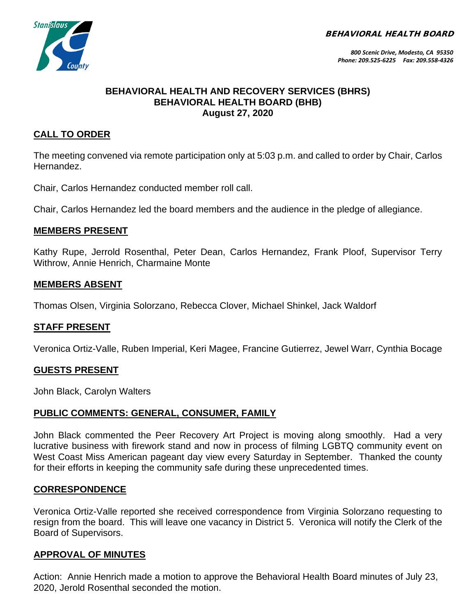BEHAVIORAL HEALTH BOARD



## **BEHAVIORAL HEALTH AND RECOVERY SERVICES (BHRS) BEHAVIORAL HEALTH BOARD (BHB) August 27, 2020**

# **CALL TO ORDER**

The meeting convened via remote participation only at 5:03 p.m. and called to order by Chair, Carlos Hernandez.

Chair, Carlos Hernandez conducted member roll call.

Chair, Carlos Hernandez led the board members and the audience in the pledge of allegiance.

## **MEMBERS PRESENT**

Kathy Rupe, Jerrold Rosenthal, Peter Dean, Carlos Hernandez, Frank Ploof, Supervisor Terry Withrow, Annie Henrich, Charmaine Monte

## **MEMBERS ABSENT**

Thomas Olsen, Virginia Solorzano, Rebecca Clover, Michael Shinkel, Jack Waldorf

## **STAFF PRESENT**

Veronica Ortiz-Valle, Ruben Imperial, Keri Magee, Francine Gutierrez, Jewel Warr, Cynthia Bocage

## **GUESTS PRESENT**

John Black, Carolyn Walters

## **PUBLIC COMMENTS: GENERAL, CONSUMER, FAMILY**

John Black commented the Peer Recovery Art Project is moving along smoothly. Had a very lucrative business with firework stand and now in process of filming LGBTQ community event on West Coast Miss American pageant day view every Saturday in September. Thanked the county for their efforts in keeping the community safe during these unprecedented times.

## **CORRESPONDENCE**

Veronica Ortiz-Valle reported she received correspondence from Virginia Solorzano requesting to resign from the board. This will leave one vacancy in District 5. Veronica will notify the Clerk of the Board of Supervisors.

## **APPROVAL OF MINUTES**

Action: Annie Henrich made a motion to approve the Behavioral Health Board minutes of July 23, 2020, Jerold Rosenthal seconded the motion.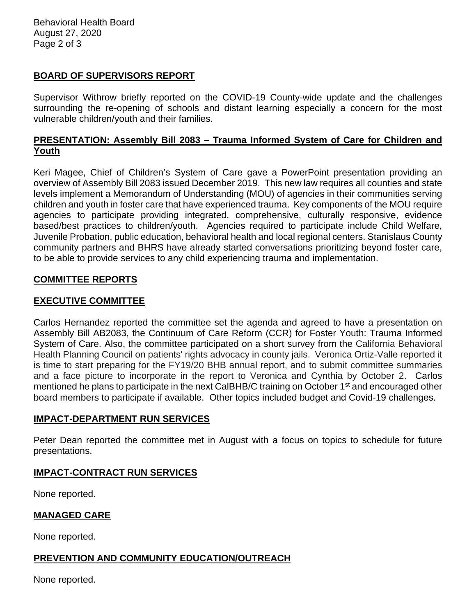## **BOARD OF SUPERVISORS REPORT**

Supervisor Withrow briefly reported on the COVID-19 County-wide update and the challenges surrounding the re-opening of schools and distant learning especially a concern for the most vulnerable children/youth and their families.

## **PRESENTATION: Assembly Bill 2083 – Trauma Informed System of Care for Children and Youth**

Keri Magee, Chief of Children's System of Care gave a PowerPoint presentation providing an overview of Assembly Bill 2083 issued December 2019. This new law requires all counties and state levels implement a Memorandum of Understanding (MOU) of agencies in their communities serving children and youth in foster care that have experienced trauma. Key components of the MOU require agencies to participate providing integrated, comprehensive, culturally responsive, evidence based/best practices to children/youth. Agencies required to participate include Child Welfare, Juvenile Probation, public education, behavioral health and local regional centers. Stanislaus County community partners and BHRS have already started conversations prioritizing beyond foster care, to be able to provide services to any child experiencing trauma and implementation.

## **COMMITTEE REPORTS**

## **EXECUTIVE COMMITTEE**

Carlos Hernandez reported the committee set the agenda and agreed to have a presentation on Assembly Bill AB2083, the Continuum of Care Reform (CCR) for Foster Youth: Trauma Informed System of Care. Also, the committee participated on a short survey from the California Behavioral Health Planning Council on patients' rights advocacy in county jails. Veronica Ortiz-Valle reported it is time to start preparing for the FY19/20 BHB annual report, and to submit committee summaries and a face picture to incorporate in the report to Veronica and Cynthia by October 2. Carlos mentioned he plans to participate in the next CaIBHB/C training on October 1<sup>st</sup> and encouraged other board members to participate if available. Other topics included budget and Covid-19 challenges.

## **IMPACT-DEPARTMENT RUN SERVICES**

Peter Dean reported the committee met in August with a focus on topics to schedule for future presentations.

## **IMPACT-CONTRACT RUN SERVICES**

None reported.

## **MANAGED CARE**

None reported.

## **PREVENTION AND COMMUNITY EDUCATION/OUTREACH**

None reported.